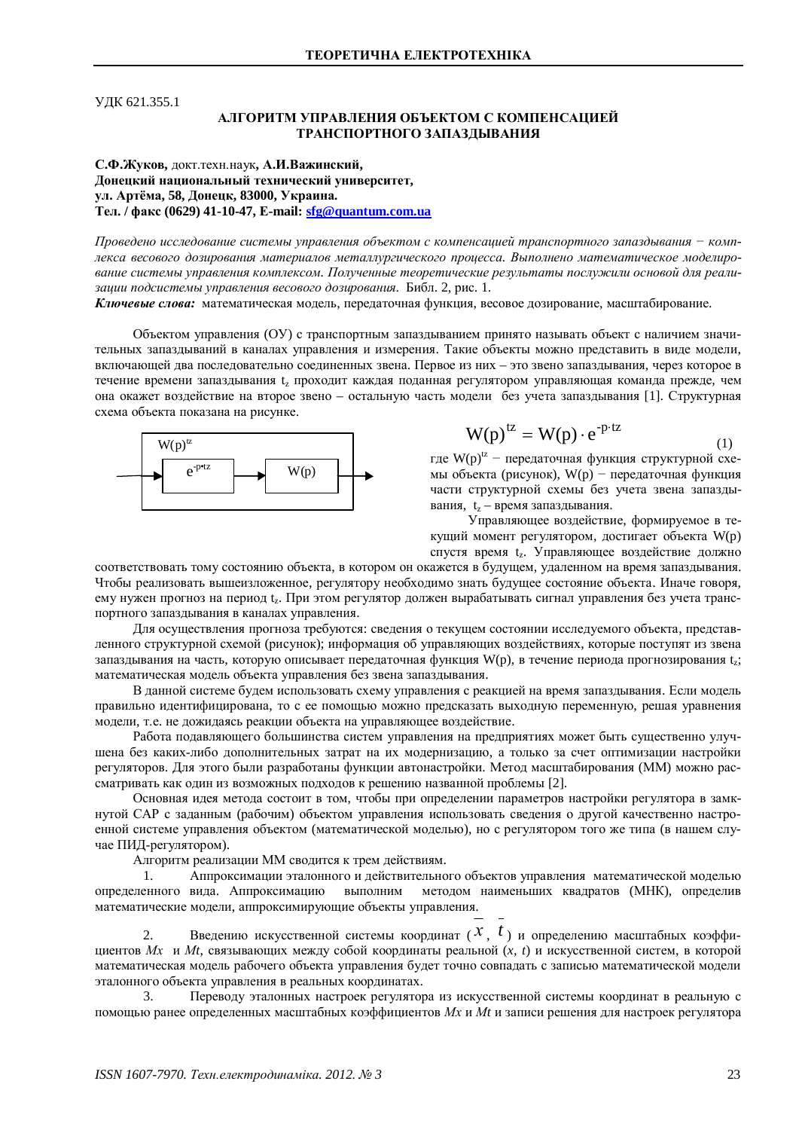ɍȾɄ 621.355.1

## АЛГОРИТМ УПРАВЛЕНИЯ ОБЪЕКТОМ С КОМПЕНСАЦИЕЙ ТРАНСПОРТНОГО ЗАПАЗЛЫВАНИЯ

С.Ф.Жуков, докт.техн.наук, А.И.Важинский, Донецкий национальный технический университет. **ул. Артёма, 58, Донецк, 83000, Украина. Ɍɟɥ. / ɮɚɤɫ (0629) 41-10-47, ȿ-mail: [sfg@quantum.com.ua](mailto:sfg:@quantum.com.ua)**

*ɉɪɨɜɟɞɟɧɨɢɫɫɥɟɞɨɜɚɧɢɟɫɢɫɬɟɦɵɭɩɪɚɜɥɟɧɢɹɨɛɴɟɤɬɨɦɫɤɨɦɩɟɧɫɚɰɢɟɣɬɪɚɧɫɩɨɪɬɧɨɝɨɡɚɩɚɡɞɵɜɚɧɢɹíɤɨɦɩ*лекса весового дозирования материалов металлургического процесса. Выполнено математическое моделирование системы управления комплексом. Полученные теоретические результаты послужили основой для реализации подсистемы управления весового дозирования. Библ. 2, рис. 1.

Ключевые слова: математическая модель, передаточная функция, весовое дозирование, масштабирование.

Объектом управления (ОУ) с транспортным запаздыванием принято называть объект с наличием значительных запаздываний в каналах управления и измерения. Такие объекты можно представить в виде модели, включающей два последовательно соединенных звена. Первое из них – это звено запаздывания, через которое в течение времени запаздывания  $t_z$  проходит каждая поданная регулятором управляющая команда прежде, чем она окажет воздействие на второе звено – остальную часть модели без учета запаздывания [1]. Структурная схема объекта показана на рисунке.



$$
W(p)^{tz} = W(p) \cdot e^{-p \cdot tz} \tag{1}
$$

где  $W(p)^{tz}$  – передаточная функция структурной схемы объекта (рисунок), W(р) – передаточная функция части структурной схемы без учета звена запаздывания,  $t_z$  – время запаздывания.

Управляющее воздействие, формируемое в текущий момент регулятором, достигает объекта W(p) спустя время tz. Управляющее воздействие должно

соответствовать тому состоянию объекта, в котором он окажется в будущем, удаленном на время запаздывания. Чтобы реализовать вышеизложенное, регулятору необходимо знать будущее состояние объекта. Иначе говоря, ему нужен прогноз на период tz. При этом регулятор должен вырабатывать сигнал управления без учета транспортного запаздывания в каналах управления.

Для осуществления прогноза требуются: сведения о текущем состоянии исследуемого объекта, представленного структурной схемой (рисунок); информация об управляющих воздействиях, которые поступят из звена запаздывания на часть, которую описывает передаточная функция W(p), в течение периода прогнозирования t<sub>z</sub>; математическая модель объекта управления без звена запаздывания.

В данной системе будем использовать схему управления с реакцией на время запаздывания. Если модель правильно идентифицирована, то с ее помощью можно предсказать выходную переменную, решая уравнения модели, т.е. не дожидаясь реакции объекта на управляющее воздействие.

Работа подавляющего большинства систем управления на предприятиях может быть существенно улучшена без каких-либо дополнительных затрат на их модернизацию, а только за счет оптимизации настройки регуляторов. Для этого были разработаны функции автонастройки. Метод масштабирования (ММ) можно рассматривать как один из возможных подходов к решению названной проблемы [2].

Основная идея метода состоит в том, чтобы при определении параметров настройки регулятора в замкнутой САР с заданным (рабочим) объектом управления использовать сведения о другой качественно настроенной системе управления объектом (математической моделью), но с регулятором того же типа (в нашем случае ПИД-регулятором).

Алгоритм реализации ММ сводится к трем действиям.

1. Аппроксимации эталонного и действительного объектов управления математической моделью определенного вида. Аппроксимацию выполним методом наименьших квадратов (МНК), определив математические модели, аппроксимирующие объекты управления.

2. Введению искусственной системы координат (X,  $t$ ) и определению масштабных коэффициентов *Mx и Mt*, связывающих между собой координаты реальной (*x, t*) и искусственной систем, в которой математическая модель рабочего объекта управления будет точно совпадать с записью математической модели эталонного объекта управления в реальных координатах.

3. Переводу эталонных настроек регулятора из искусственной системы координат в реальную с помощью ранее определенных масштабных коэффициентов *Мх и Мt и* записи решения для настроек регулятора